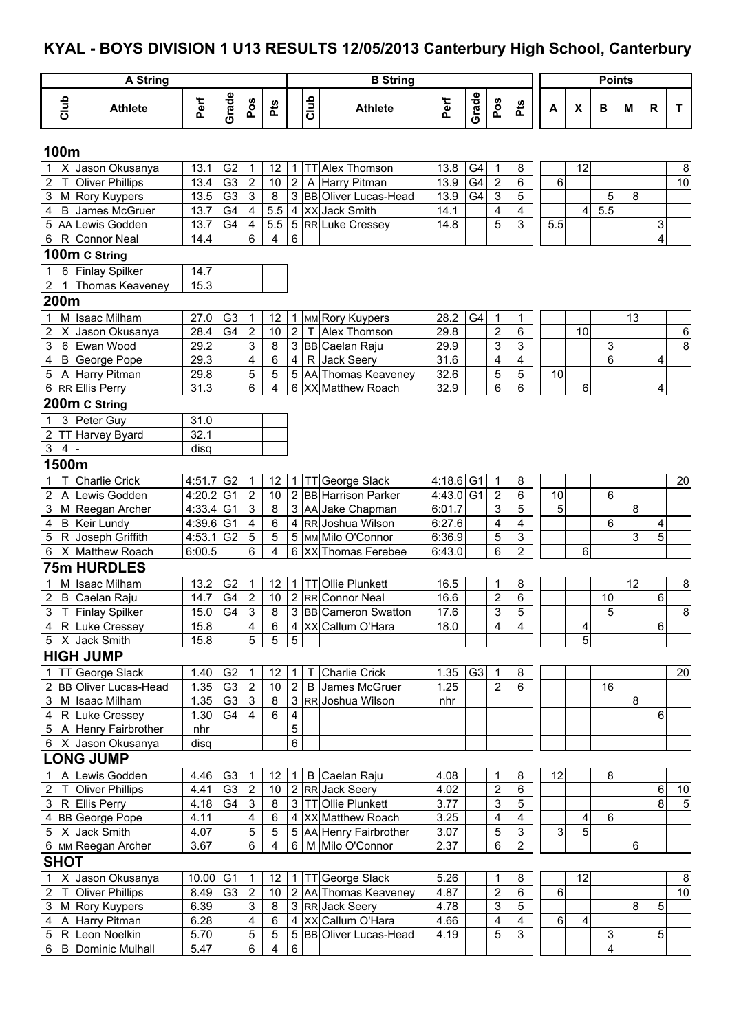# **KYAL - BOYS DIVISION 1 U13 RESULTS 12/05/2013 Canterbury High School, Canterbury**

| A String                |                |                        |             |                |                  |                         |                         |      | <b>B</b> String             | <b>Points</b> |       |                         |                           |         |                           |     |    |       |                 |
|-------------------------|----------------|------------------------|-------------|----------------|------------------|-------------------------|-------------------------|------|-----------------------------|---------------|-------|-------------------------|---------------------------|---------|---------------------------|-----|----|-------|-----------------|
|                         | Club           | <b>Athlete</b>         | Perf        | Grade          | Pos              | Pts                     |                         | Club | <b>Athlete</b>              | Perf          | Grade | Pos                     | Pts                       | А       | $\boldsymbol{\mathsf{x}}$ | в   | M  | R     | $\mathbf{T}$    |
|                         | 100m           |                        |             |                |                  |                         |                         |      |                             |               |       |                         |                           |         |                           |     |    |       |                 |
|                         |                | X Jason Okusanya       | 13.1        | G <sub>2</sub> | 1                | 12                      | $\mathbf{1}$            |      | TT Alex Thomson             | 13.8          | G4    | $\mathbf 1$             | 8                         |         | 12                        |     |    |       | 8               |
| $\overline{c}$          |                | <b>Oliver Phillips</b> | 13.4        | G3             | $\boldsymbol{2}$ | 10                      | $\sqrt{2}$              |      | A Harry Pitman              | 13.9          | G4    | $\overline{2}$          | 6                         | 6       |                           |     |    |       | $\overline{10}$ |
| 3                       |                | M Rory Kuypers         | 13.5        | G3             | $\mathfrak{S}$   | 8                       | $\mathsf 3$             |      | <b>BB</b> Oliver Lucas-Head | 13.9          | G4    | $\mathbf{3}$            | 5                         |         |                           | 5   | 8  |       |                 |
| 4                       |                | <b>B</b> James McGruer | 13.7        | G4             | $\overline{4}$   | $5.5\,$                 | $\overline{\mathbf{4}}$ |      | XX Jack Smith               | 14.1          |       | 4                       | $\overline{4}$            |         | 4                         | 5.5 |    |       |                 |
|                         |                | 5 AA Lewis Godden      | 13.7        | G <sub>4</sub> | $\overline{4}$   | 5.5                     | $\mathbf 5$             |      | RR Luke Cressey             | 14.8          |       | 5                       | 3                         | 5.5     |                           |     |    | 3     |                 |
| 6                       |                | R Connor Neal          | 14.4        |                | 6                | 4                       | 6                       |      |                             |               |       |                         |                           |         |                           |     |    | 4     |                 |
|                         |                | 100m C String          |             |                |                  |                         |                         |      |                             |               |       |                         |                           |         |                           |     |    |       |                 |
| $\mathbf{1}$            |                | 6 Finlay Spilker       | 14.7        |                |                  |                         |                         |      |                             |               |       |                         |                           |         |                           |     |    |       |                 |
| $\overline{2}$          | 1              | Thomas Keaveney        | 15.3        |                |                  |                         |                         |      |                             |               |       |                         |                           |         |                           |     |    |       |                 |
|                         | 200m           |                        |             |                |                  |                         |                         |      |                             |               |       |                         |                           |         |                           |     |    |       |                 |
| $\mathbf 1$             |                | M Isaac Milham         | 27.0        | G <sub>3</sub> | $\mathbf{1}$     | 12                      | $\mathbf 1$             |      | MM Rory Kuypers             | 28.2          | G4    | $\mathbf{1}$            | 1                         |         |                           |     | 13 |       |                 |
| $\overline{2}$          |                | X Jason Okusanya       | 28.4        | G4             | $\overline{2}$   | 10                      | $\overline{2}$          |      | T Alex Thomson              | 29.8          |       | $\overline{2}$          | 6                         |         | 10                        |     |    |       | $\,6\,$         |
| 3                       |                | 6 Ewan Wood            | 29.2        |                | 3                | $\overline{\mathbf{8}}$ | $\mathfrak{S}$          |      | <b>BB</b> Caelan Raju       | 29.9          |       | 3                       | 3                         |         |                           | 3   |    |       | $\overline{8}$  |
| 4                       |                | <b>B</b> George Pope   | 29.3        |                | 4                | 6                       | 4                       |      | R Jack Seery                | 31.6          |       | 4                       | 4                         |         |                           | 6   |    | 4     |                 |
| 5                       |                | A Harry Pitman         | 29.8        |                | 5                | 5                       | 5                       |      | AA Thomas Keaveney          | 32.6          |       | 5                       | 5                         | 10      |                           |     |    |       |                 |
|                         |                | 6 RREIlis Perry        | 31.3        |                | 6                | $\overline{\mathbf{4}}$ | 6                       |      | XX Matthew Roach            | 32.9          |       | 6                       | 6                         |         | 6                         |     |    | 4     |                 |
|                         |                | 200m C String          |             |                |                  |                         |                         |      |                             |               |       |                         |                           |         |                           |     |    |       |                 |
| $\mathbf{1}$            |                | 3 Peter Guy            | 31.0        |                |                  |                         |                         |      |                             |               |       |                         |                           |         |                           |     |    |       |                 |
| $\overline{2}$          |                | TT Harvey Byard        | 32.1        |                |                  |                         |                         |      |                             |               |       |                         |                           |         |                           |     |    |       |                 |
| $\mathbf{3}$            | $\overline{4}$ |                        | disq        |                |                  |                         |                         |      |                             |               |       |                         |                           |         |                           |     |    |       |                 |
|                         | 1500m          |                        |             |                |                  |                         |                         |      |                             |               |       |                         |                           |         |                           |     |    |       |                 |
| $\mathbf{1}$            |                | <b>Charlie Crick</b>   | 4:51.7      | G <sub>2</sub> | $\mathbf 1$      | 12                      | $\mathbf{1}$            |      | TT George Slack             | $4:18.6$ G1   |       | $\overline{1}$          | 8                         |         |                           |     |    |       | 20              |
| $\overline{c}$          |                | A Lewis Godden         | $4:20.2$ G1 |                | $\overline{2}$   | 10                      | $\overline{2}$          |      | <b>BB</b> Harrison Parker   | 4:43.0 G1     |       | $\overline{2}$          | 6                         | 10      |                           | 6   |    |       |                 |
| 3                       |                | M Reegan Archer        | $4:33.4$ G1 |                | 3                | 8                       | $\overline{3}$          |      | AA Jake Chapman             | 6:01.7        |       | 3                       | 5                         | 5       |                           |     | 8  |       |                 |
| $\overline{\mathbf{4}}$ |                | <b>B</b> Keir Lundy    | $4:39.6$ G1 |                | 4                | 6                       | $\overline{4}$          |      | RR Joshua Wilson            | 6:27.6        |       | $\overline{\mathbf{4}}$ | 4                         |         |                           | 6   |    | 4     |                 |
| 5                       |                | R Joseph Griffith      | 4:53.1      | G <sub>2</sub> | 5                | 5                       | 5                       |      | MM Milo O'Connor            | 6:36.9        |       | 5                       | $\mathsf 3$               |         |                           |     | 3  | 5     |                 |
| 6                       |                | X Matthew Roach        | 6:00.5      |                | 6                | 4                       | 6                       |      | XX Thomas Ferebee           | 6:43.0        |       | 6                       | $\overline{2}$            |         | 6                         |     |    |       |                 |
|                         |                | <b>75m HURDLES</b>     |             |                |                  |                         |                         |      |                             |               |       |                         |                           |         |                           |     |    |       |                 |
| 1 <sup>1</sup>          |                | M Isaac Milham         | 13.2        | G <sub>2</sub> | 1                | 12                      | $\mathbf{1}$            |      | TT Ollie Plunkett           | 16.5          |       | 1                       | 8                         |         |                           |     | 12 |       | 8               |
| $\mathbf{2}$            |                | B Caelan Raju          | 14.7        | G4             | $\overline{2}$   | 10                      |                         |      | 2 RR Connor Neal            | 16.6          |       | $\overline{2}$          | 6                         |         |                           | 10  |    | 6     |                 |
|                         |                | 3 T Finlay Spilker     | 15.0        | G4             | $\overline{3}$   | $\overline{8}$          |                         |      | 3 BB Cameron Swatton        | 17.6          |       | 3                       | $\overline{5}$            |         |                           | 5   |    |       | $\overline{8}$  |
|                         |                | 4 R Luke Cressey       | 15.8        |                | $\overline{4}$   | 6                       |                         |      | 4 XX Callum O'Hara          | 18.0          |       | $\overline{4}$          | $\overline{4}$            |         | 4                         |     |    | 6     |                 |
|                         |                | 5 X Jack Smith         | 15.8        |                | 5                | 5                       | 5                       |      |                             |               |       |                         |                           |         | 5                         |     |    |       |                 |
|                         |                | <b>HIGH JUMP</b>       |             |                |                  |                         |                         |      |                             |               |       |                         |                           |         |                           |     |    |       |                 |
|                         |                | 1   TT George Slack    | 1.40        | G <sub>2</sub> | $\mathbf{1}$     | 12                      | $\mathbf 1$             | T.   | <b>Charlie Crick</b>        | 1.35          | G3    | $\overline{1}$          | 8                         |         |                           |     |    |       | 20              |
|                         |                | 2 BB Oliver Lucas-Head | 1.35        | G <sub>3</sub> | $\sqrt{2}$       | $10$                    | $\overline{2}$          |      | <b>B</b> James McGruer      | 1.25          |       | $\overline{2}$          | $\,6$                     |         |                           | 16  |    |       |                 |
|                         |                | 3 M Isaac Milham       | 1.35        | G <sub>3</sub> | $\mathsf 3$      | 8                       | $\mathbf{3}$            |      | RR Joshua Wilson            | nhr           |       |                         |                           |         |                           |     | 8  |       |                 |
|                         |                | 4 R Luke Cressey       | 1.30        | G4             | 4                | 6                       | $\overline{\mathbf{4}}$ |      |                             |               |       |                         |                           |         |                           |     |    | 6     |                 |
|                         |                | 5 A Henry Fairbrother  | nhr         |                |                  |                         | $\sqrt{5}$              |      |                             |               |       |                         |                           |         |                           |     |    |       |                 |
|                         |                | 6 X Jason Okusanya     | disq        |                |                  |                         | $6\phantom{1}$          |      |                             |               |       |                         |                           |         |                           |     |    |       |                 |
|                         |                | <b>LONG JUMP</b>       |             |                |                  |                         |                         |      |                             |               |       |                         |                           |         |                           |     |    |       |                 |
| 1 <sup>1</sup>          |                | A Lewis Godden         | 4.46        | G <sub>3</sub> | $\overline{1}$   | 12 <sup>°</sup>         | $\mathbf{1}$            |      | B Caelan Raju               | 4.08          |       | 1                       | 8                         | 12      |                           | 8   |    |       |                 |
| $2 \mid$                |                | T Oliver Phillips      | 4.41        | G3             | $\overline{2}$   | $10\,$                  |                         |      | 2 RR Jack Seery             | 4.02          |       | $\overline{2}$          | $6\phantom{1}$            |         |                           |     |    | $\,6$ | 10              |
|                         |                | 3 R Ellis Perry        | 4.18        | G4             | $\mathbf{3}$     | 8                       | $\mathbf{3}$            |      | TT Ollie Plunkett           | 3.77          |       | 3                       | 5                         |         |                           |     |    | 8     | 5               |
|                         |                | 4 BB George Pope       | 4.11        |                | 4                | $\,6\,$                 |                         |      | 4 XX Matthew Roach          | 3.25          |       | 4                       | $\overline{\mathbf{4}}$   |         | 4                         | 6   |    |       |                 |
|                         |                | 5 X Jack Smith         | 4.07        |                | 5                | $\sqrt{5}$              |                         |      | 5 AA Henry Fairbrother      | 3.07          |       | 5                       | $\ensuremath{\mathsf{3}}$ | 3       | 5                         |     |    |       |                 |
|                         |                | 6   MM Reegan Archer   | 3.67        |                | 6                | $\overline{4}$          | 6                       |      | M Milo O'Connor             | 2.37          |       | 6                       | $\overline{2}$            |         |                           |     | 6  |       |                 |
|                         | <b>SHOT</b>    |                        |             |                |                  |                         |                         |      |                             |               |       |                         |                           |         |                           |     |    |       |                 |
| 1 <sup>1</sup>          |                | X Jason Okusanya       | 10.00 G1    |                | $\mathbf{1}$     | 12 <sup>°</sup>         |                         |      | 1 TT George Slack           | 5.26          |       | 1                       | 8                         |         | 12                        |     |    |       | 8               |
| $2 \mid$                |                | T Oliver Phillips      | 8.49        | G <sub>3</sub> | $\overline{2}$   | $10\,$                  |                         |      | 2 AA Thomas Keaveney        | 4.87          |       | $\overline{2}$          | $6\,$                     | 6       |                           |     |    |       | 10              |
|                         |                | 3   M   Rory Kuypers   | 6.39        |                | $\mathfrak{S}$   | 8                       |                         |      | 3 RR Jack Seery             | 4.78          |       | 3                       | 5                         |         |                           |     | 8  | 5     |                 |
|                         |                | 4   A Harry Pitman     | 6.28        |                | 4                | $\,6\,$                 |                         |      | 4 XX Callum O'Hara          | 4.66          |       | 4                       | $\overline{\mathbf{4}}$   | $\,6\,$ | 4                         |     |    |       |                 |
| 5 <sup>5</sup>          |                | R Leon Noelkin         | 5.70        |                | 5                | $\overline{5}$          | $\overline{5}$          |      | <b>BB</b> Oliver Lucas-Head | 4.19          |       | $5\,$                   | 3                         |         |                           | 3   |    | 5     |                 |
|                         |                | 6 B Dominic Mulhall    | 5.47        |                | 6                | $\overline{4}$          | $\overline{6}$          |      |                             |               |       |                         |                           |         |                           | 4   |    |       |                 |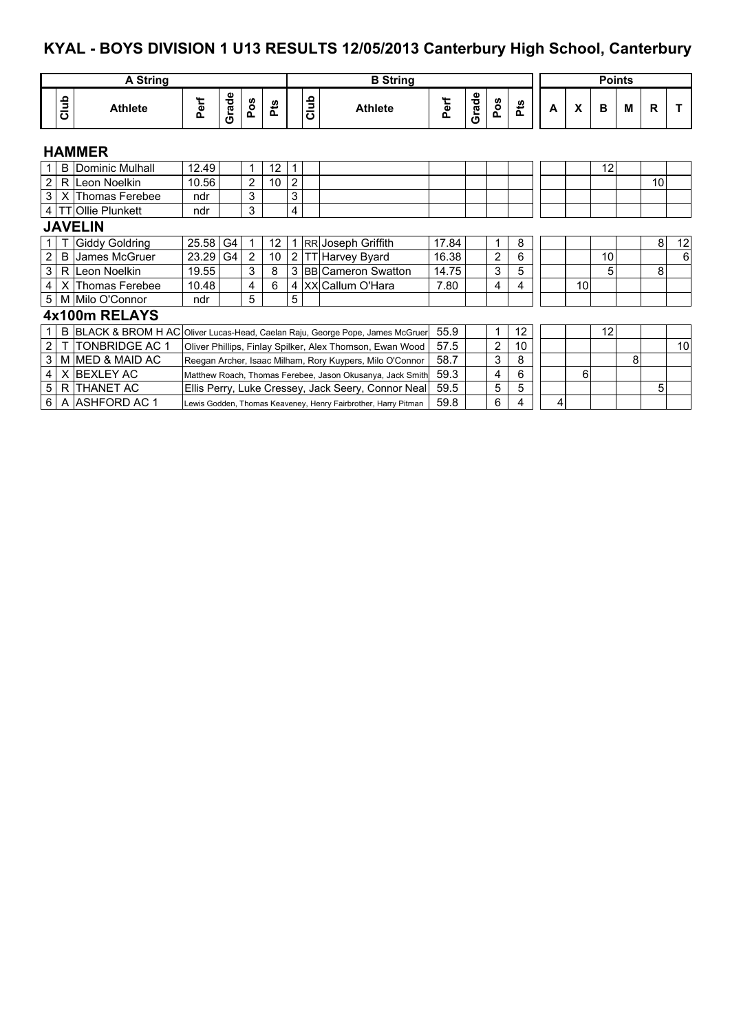# **KYAL - BOYS DIVISION 1 U13 RESULTS 12/05/2013 Canterbury High School, Canterbury**

|                |               | A String               |       |       |                |      |                |      | <b>B</b> String                                                              |       | <b>Points</b> |                |     |   |    |    |   |             |    |
|----------------|---------------|------------------------|-------|-------|----------------|------|----------------|------|------------------------------------------------------------------------------|-------|---------------|----------------|-----|---|----|----|---|-------------|----|
|                |               |                        |       |       |                |      |                |      |                                                                              |       |               |                |     |   |    |    |   |             |    |
|                | Club          | <b>Athlete</b>         | Perf  | Grade | Pos            | مُّخ |                | Glub | <b>Athlete</b>                                                               | Perf  | Grade         | Pos            | Pts | A | X  | B  | M | $\mathbf R$ |    |
|                | <b>HAMMER</b> |                        |       |       |                |      |                |      |                                                                              |       |               |                |     |   |    |    |   |             |    |
| $\mathbf{1}$   | B             | Dominic Mulhall        | 12.49 |       | 1              | 12   | 1              |      |                                                                              |       |               |                |     |   |    | 12 |   |             |    |
| 2 <sub>1</sub> |               | R Leon Noelkin         | 10.56 |       | 2              | 10   | 2              |      |                                                                              |       |               |                |     |   |    |    |   | 10          |    |
| 3 <sup>1</sup> |               | X Thomas Ferebee       | ndr   |       | 3              |      | 3              |      |                                                                              |       |               |                |     |   |    |    |   |             |    |
|                |               | 4   TT Ollie Plunkett  | ndr   |       | 3              |      | 4              |      |                                                                              |       |               |                |     |   |    |    |   |             |    |
|                |               | <b>JAVELIN</b>         |       |       |                |      |                |      |                                                                              |       |               |                |     |   |    |    |   |             |    |
|                |               | Giddy Goldring         | 25.58 | G4    | 1              | 12   |                |      | 1 RR Joseph Griffith                                                         | 17.84 |               | 1              | 8   |   |    |    |   | 8           | 12 |
| $\overline{2}$ | B             | James McGruer          | 23.29 | G4    | $\overline{2}$ | 10   | 2 <sub>1</sub> |      | TT Harvey Byard                                                              | 16.38 |               | $\overline{c}$ | 6   |   |    | 10 |   |             | 6  |
| 3              |               | R Leon Noelkin         | 19.55 |       | 3              | 8    |                |      | 3 BB Cameron Swatton                                                         | 14.75 |               | 3              | 5   |   |    | 5  |   | 8           |    |
| $\overline{4}$ |               | X Thomas Ferebee       | 10.48 |       | 4              | 6    |                |      | 4   XX Callum O'Hara                                                         | 7.80  |               | 4              | 4   |   | 10 |    |   |             |    |
|                |               | 5   M Milo O'Connor    | ndr   |       | 5              |      | 5              |      |                                                                              |       |               |                |     |   |    |    |   |             |    |
|                |               | 4x100m RELAYS          |       |       |                |      |                |      |                                                                              |       |               |                |     |   |    |    |   |             |    |
|                | B             |                        |       |       |                |      |                |      | BLACK & BROM H AC Oliver Lucas-Head, Caelan Raju, George Pope, James McGruer | 55.9  |               | 1              | 12  |   |    | 12 |   |             |    |
| $\overline{2}$ |               | <b>ITONBRIDGE AC 1</b> |       |       |                |      |                |      | Oliver Phillips, Finlay Spilker, Alex Thomson, Ewan Wood                     | 57.5  |               | $\overline{2}$ | 10  |   |    |    |   |             | 10 |
| 3 <sup>1</sup> |               | M MED & MAID AC        |       |       |                |      |                |      | Reegan Archer, Isaac Milham, Rory Kuypers, Milo O'Connor                     | 58.7  |               | 3              | 8   |   |    |    | 8 |             |    |
| $\overline{4}$ |               | X BEXLEY AC            |       |       |                |      |                |      | Matthew Roach, Thomas Ferebee, Jason Okusanya, Jack Smith                    | 59.3  |               | 4              | 6   |   | 6  |    |   |             |    |
| 5 <sup>1</sup> |               | R ITHANET AC           |       |       |                |      |                |      | Ellis Perry, Luke Cressey, Jack Seery, Connor Neal                           | 59.5  |               | 5              | 5   |   |    |    |   | 5           |    |
| 6              |               | A ASHFORD AC 1         |       |       |                |      |                |      | Lewis Godden, Thomas Keaveney, Henry Fairbrother, Harry Pitman               | 59.8  |               | 6              | 4   | 4 |    |    |   |             |    |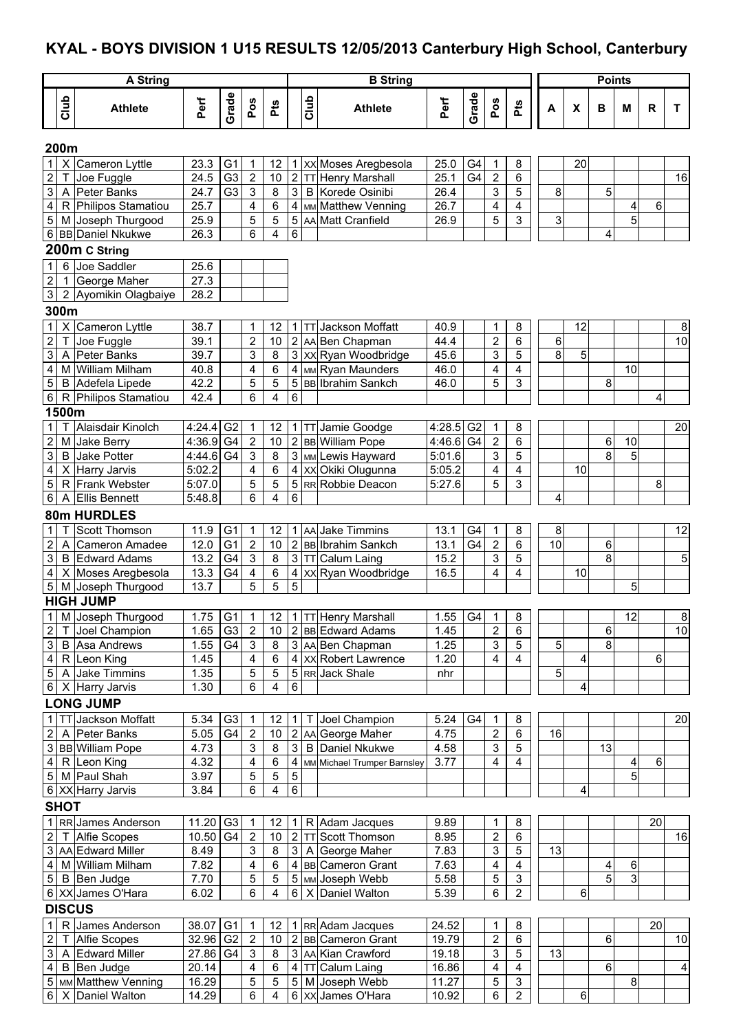### **KYAL - BOYS DIVISION 1 U15 RESULTS 12/05/2013 Canterbury High School, Canterbury**

|                                                    |                                             | <b>B</b> String           |                      |                     |                     |                |      |                                            |              |                |                         | <b>Points</b>       |    |                           |    |                |    |                 |
|----------------------------------------------------|---------------------------------------------|---------------------------|----------------------|---------------------|---------------------|----------------|------|--------------------------------------------|--------------|----------------|-------------------------|---------------------|----|---------------------------|----|----------------|----|-----------------|
| Club                                               | <b>A String</b><br><b>Athlete</b>           | Perf                      | Grade                | Pos                 | Pts                 |                | Club | <b>Athlete</b>                             | Perf         | Grade          | Pos                     | Pts                 | A  | $\boldsymbol{\mathsf{x}}$ | B  | M              | R  | T               |
| 200m                                               |                                             |                           |                      |                     |                     |                |      |                                            |              |                |                         |                     |    |                           |    |                |    |                 |
| $\mathsf{X}$<br>1                                  | Cameron Lyttle                              | 23.3                      | G <sub>1</sub>       | 1                   | 12                  |                |      | 1 XX Moses Aregbesola                      | 25.0         | G <sub>4</sub> | 1                       | 8                   |    | 20                        |    |                |    |                 |
| $\overline{2}$<br>Τ                                | Joe Fuggle                                  | 24.5                      | G3                   | $\mathbf 2$         | 10                  |                |      | 2 TT Henry Marshall                        | 25.1         | G4             | $\overline{c}$          | 6                   |    |                           |    |                |    | 16              |
| 3                                                  | A Peter Banks                               | 24.7                      | G <sub>3</sub>       | 3                   | $\bf 8$             | 3              |      | <b>B</b> Korede Osinibi                    | 26.4         |                | 3                       | 5                   | 8  |                           | 5  |                |    |                 |
| 4                                                  | R Philipos Stamatiou                        | 25.7                      |                      | 4                   | 6                   | 4              |      | MM Matthew Venning                         | 26.7         |                | 4                       | 4                   |    |                           |    | 4              | 6  |                 |
| 5                                                  | M Joseph Thurgood                           | 25.9                      |                      | 5                   | $\overline{5}$      | 5              |      | AA Matt Cranfield                          | 26.9         |                | 5                       | 3                   | 3  |                           |    | $\overline{5}$ |    |                 |
|                                                    | 6 BB Daniel Nkukwe                          | 26.3                      |                      | 6                   | 4                   | 6              |      |                                            |              |                |                         |                     |    |                           | 4  |                |    |                 |
|                                                    | 200m C String<br>Joe Saddler                |                           |                      |                     |                     |                |      |                                            |              |                |                         |                     |    |                           |    |                |    |                 |
| 6<br>$\mathbf 1$<br>$\overline{2}$<br>$\mathbf{1}$ | George Maher                                | 25.6<br>$\overline{27.3}$ |                      |                     |                     |                |      |                                            |              |                |                         |                     |    |                           |    |                |    |                 |
| 3 <sup>1</sup>                                     | 2 Ayomikin Olagbaiye                        | 28.2                      |                      |                     |                     |                |      |                                            |              |                |                         |                     |    |                           |    |                |    |                 |
| 300m                                               |                                             |                           |                      |                     |                     |                |      |                                            |              |                |                         |                     |    |                           |    |                |    |                 |
| 1                                                  | X Cameron Lyttle                            | 38.7                      |                      | 1                   | 12                  |                |      | 1 TT Jackson Moffatt                       | 40.9         |                | 1                       | 8                   |    | 12                        |    |                |    | 8               |
| $\overline{\mathsf{I}}$<br>$\overline{c}$          | Joe Fuggle                                  | 39.1                      |                      | $\mathbf 2$         | 10                  |                |      | 2 AA Ben Chapman                           | 44.4         |                | $\overline{\mathbf{c}}$ | 6                   | 6  |                           |    |                |    | 10              |
| 3                                                  | A Peter Banks                               | 39.7                      |                      | 3                   | $\bf 8$             |                |      | 3 xx Ryan Woodbridge                       | 45.6         |                | 3                       | 5                   | 8  | 5                         |    |                |    |                 |
| 4                                                  | M William Milham                            | 40.8                      |                      | 4                   | 6                   |                |      | 4 MM Ryan Maunders                         | 46.0         |                | 4                       | 4                   |    |                           |    | 10             |    |                 |
| $\overline{5}$                                     | <b>B</b> Adefela Lipede                     | 42.2                      |                      | 5                   | 5                   |                |      | 5 BB Ibrahim Sankch                        | 46.0         |                | 5                       | 3                   |    |                           | 8  |                |    |                 |
| 6 <sup>1</sup><br>1500m                            | R Philipos Stamatiou                        | 42.4                      |                      | 6                   | 4                   | 6              |      |                                            |              |                |                         |                     |    |                           |    |                | 4  |                 |
| $\mathbf{1}$                                       | Alaisdair Kinolch                           | 4:24.4                    | G <sub>2</sub>       | 1                   | 12                  |                |      | 1 TT Jamie Goodge                          | 4:28.5       | G <sub>2</sub> | 1                       | 8                   |    |                           |    |                |    | 20              |
| $\overline{c}$                                     | M Jake Berry                                | 4:36.9                    | G <sub>4</sub>       | $\mathbf{2}$        | 10                  |                |      | 2 BB William Pope                          | 4:46.6       | G <sub>4</sub> | $\overline{\mathbf{c}}$ | 6                   |    |                           | 6  | 10             |    |                 |
| 3<br>B                                             | <b>Jake Potter</b>                          | 4:44.6                    | G <sub>4</sub>       | 3                   | 8                   |                |      | 3 MM Lewis Hayward                         | 5:01.6       |                | 3                       | 5                   |    |                           | 8  | 5              |    |                 |
| $\overline{\mathbf{4}}$                            | X Harry Jarvis                              | 5:02.2                    |                      | 4                   | $6\phantom{1}6$     |                |      | 4 XX Okiki Olugunna                        | 5:05.2       |                | 4                       | $\overline{4}$      |    | 10                        |    |                |    |                 |
| 5                                                  | R Frank Webster                             | 5:07.0                    |                      | 5                   | 5                   | 5              |      | RR Robbie Deacon                           | 5:27.6       |                | 5                       | 3                   |    |                           |    |                | 8  |                 |
| 6                                                  | A Ellis Bennett                             | 5:48.8                    |                      | 6                   | 4                   | 6              |      |                                            |              |                |                         |                     | 4  |                           |    |                |    |                 |
|                                                    | 80m HURDLES                                 |                           |                      |                     |                     |                |      |                                            |              |                |                         |                     |    |                           |    |                |    |                 |
| 1                                                  | Scott Thomson                               | 11.9                      | G <sub>1</sub>       | 1                   | 12                  |                |      | 1 AA Jake Timmins                          | 13.1         | G <sub>4</sub> | 1                       | 8                   | 8  |                           |    |                |    | 12              |
| 2<br>$\mathsf{A}$                                  | Cameron Amadee                              | 12.0                      | G <sub>1</sub>       | $\mathbf{2}$        | 10                  |                |      | 2 BB Ibrahim Sankch                        | 13.1         | G4             | $\sqrt{2}$              | 6                   | 10 |                           | 6  |                |    |                 |
| 3<br>4                                             | <b>B</b> Edward Adams<br>X Moses Aregbesola | 13.2<br>13.3              | G4<br>G4             | 3<br>4              | 8<br>$\,6$          | $\mathbf{3}$   |      | TT Calum Laing<br>4   xx   Ryan Woodbridge | 15.2<br>16.5 |                | 3<br>4                  | 5<br>4              |    | 10                        | 8  |                |    | 5               |
| 5                                                  | M Joseph Thurgood                           | 13.7                      |                      | 5                   | 5                   | 5              |      |                                            |              |                |                         |                     |    |                           |    | 5              |    |                 |
|                                                    | <b>HIGH JUMP</b>                            |                           |                      |                     |                     |                |      |                                            |              |                |                         |                     |    |                           |    |                |    |                 |
|                                                    | 1 M Joseph Thurgood                         | 1.75 G1                   |                      | 1                   | 12                  |                |      | 1   TT   Henry Marshall                    | 1.55         | G4             | 1                       | 8                   |    |                           |    | 12             |    | 8 <sup>1</sup>  |
| $\mathbf{2}$                                       | T Joel Champion                             | 1.65                      | G <sub>3</sub>       | $\overline{2}$      | 10 <sup>°</sup>     |                |      | 2 BB Edward Adams                          | 1.45         |                | $\overline{c}$          | 6                   |    |                           | 6  |                |    | $\overline{10}$ |
| 3 <sup>1</sup>                                     | <b>B</b> Asa Andrews                        | 1.55                      | G4                   | $\mathbf{3}$        | 8                   |                |      | 3 AA Ben Chapman                           | 1.25         |                | 3                       | 5                   | 5  |                           | œ. |                |    |                 |
|                                                    | $4   R $ Leon King                          | 1.45                      |                      | $\overline{4}$      | 6                   |                |      | 4 XX Robert Lawrence                       | 1.20         |                | 4                       | 4                   |    | 4                         |    |                | 6  |                 |
|                                                    | 5 A Jake Timmins                            | 1.35<br>1.30              |                      | 5<br>6              | $\overline{5}$<br>4 | 6              |      | 5 RR Jack Shale                            | nhr          |                |                         |                     | 5  | 4                         |    |                |    |                 |
|                                                    | 6 X Harry Jarvis                            |                           |                      |                     |                     |                |      |                                            |              |                |                         |                     |    |                           |    |                |    |                 |
|                                                    | <b>LONG JUMP</b><br>TT Jackson Moffatt      |                           |                      |                     |                     |                |      | Joel Champion                              |              |                |                         |                     |    |                           |    |                |    |                 |
| 1 <sup>1</sup><br>2                                | A Peter Banks                               | 5.34<br>5.05              | G <sub>3</sub><br>G4 | 1<br>$\overline{2}$ | 12<br>10            | 1              |      | 2 AA George Maher                          | 5.24<br>4.75 | G4             | 1<br>$\overline{c}$     | 8<br>6              | 16 |                           |    |                |    | 20              |
|                                                    | 3 BB William Pope                           | 4.73                      |                      | 3                   | 8                   | 3              |      | <b>B</b> Daniel Nkukwe                     | 4.58         |                | 3                       | 5                   |    |                           | 13 |                |    |                 |
|                                                    | $4   R $ Leon King                          | 4.32                      |                      | 4                   | 6                   |                |      | 4 MM Michael Trumper Barnsley              | 3.77         |                | 4                       | 4                   |    |                           |    | 4              | 6  |                 |
|                                                    | 5 M Paul Shah                               | 3.97                      |                      | 5                   | 5                   | $\sqrt{5}$     |      |                                            |              |                |                         |                     |    |                           |    | 5              |    |                 |
|                                                    | 6 XX Harry Jarvis                           | 3.84                      |                      | 6                   | 4                   | $\overline{6}$ |      |                                            |              |                |                         |                     |    | 4                         |    |                |    |                 |
| <b>SHOT</b>                                        |                                             |                           |                      |                     |                     |                |      |                                            |              |                |                         |                     |    |                           |    |                |    |                 |
|                                                    | 1 RR James Anderson                         | 11.20                     | G <sub>3</sub>       | $\mathbf{1}$        | 12                  | 1 I            |      | R Adam Jacques                             | 9.89         |                | 1                       | 8                   |    |                           |    |                | 20 |                 |
| $\overline{2}$                                     | T Alfie Scopes                              | 10.50                     | G <sub>4</sub>       | $\overline{2}$      | 10                  | $\overline{2}$ |      | <b>TT</b> Scott Thomson                    | 8.95         |                | $\overline{c}$          | 6                   |    |                           |    |                |    | 16              |
| 4                                                  | 3 AA Edward Miller<br>M William Milham      | 8.49<br>7.82              |                      | 3<br>4              | 8<br>$6\phantom{a}$ |                |      | 3 A George Maher<br>4 BB Cameron Grant     | 7.83<br>7.63 |                | 3<br>4                  | 5<br>4              | 13 |                           | 4  | 6              |    |                 |
|                                                    | 5 B Ben Judge                               | 7.70                      |                      | 5                   | 5                   |                |      | 5 MM Joseph Webb                           | 5.58         |                | 5                       | 3                   |    |                           | 5  | $\overline{3}$ |    |                 |
|                                                    | 6 XX James O'Hara                           | 6.02                      |                      | 6                   | 4                   |                |      | 6   X Daniel Walton                        | 5.39         |                | 6                       | $\overline{2}$      |    | 6                         |    |                |    |                 |
| <b>DISCUS</b>                                      |                                             |                           |                      |                     |                     |                |      |                                            |              |                |                         |                     |    |                           |    |                |    |                 |
| $\mathbf{1}$                                       | R James Anderson                            | 38.07 G1                  |                      | 1                   | 12                  |                |      | 1 RR Adam Jacques                          | 24.52        |                | 1                       | 8                   |    |                           |    |                | 20 |                 |
| $\overline{a}$                                     | T Alfie Scopes                              | 32.96                     | G <sub>2</sub>       | $\sqrt{2}$          | 10                  |                |      | 2 BB Cameron Grant                         | 19.79        |                | $\overline{c}$          | 6                   |    |                           | 6  |                |    | 10              |
| $\mathbf{3}$                                       | A Edward Miller                             | 27.86 G4                  |                      | $\mathbf{3}$        | 8                   |                |      | 3 AA Kian Crawford                         | 19.18        |                | 3                       | 5                   | 13 |                           |    |                |    |                 |
| 4 <sup>1</sup>                                     | B Ben Judge                                 | 20.14                     |                      | 4                   | 6                   |                |      | 4 TT Calum Laing                           | 16.86        |                | 4                       | 4                   |    |                           | 6  |                |    | 4               |
|                                                    | 5   MM Matthew Venning                      | 16.29                     |                      | 5                   | 5<br>4              |                |      | 5 M Joseph Webb                            | 11.27        |                | 5<br>6                  | 3<br>$\overline{2}$ |    | $\,6$                     |    | 8              |    |                 |
|                                                    | 6   X Daniel Walton                         | 14.29                     |                      | 6                   |                     |                |      | 6 XX James O'Hara                          | 10.92        |                |                         |                     |    |                           |    |                |    |                 |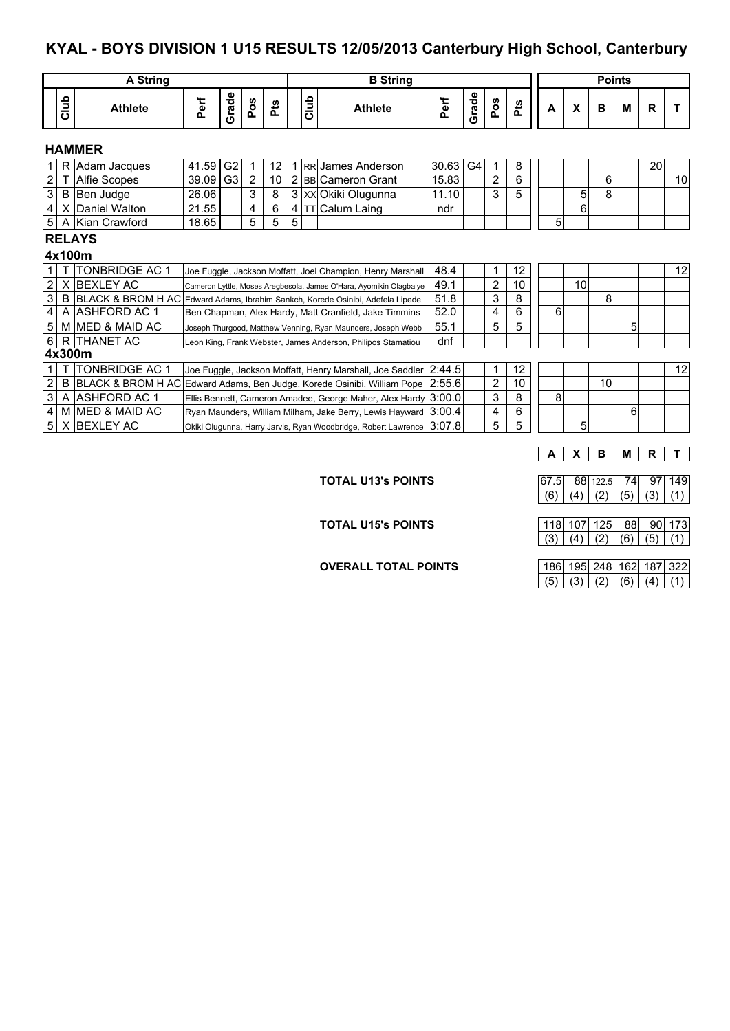### **KYAL - BOYS DIVISION 1 U15 RESULTS 12/05/2013 Canterbury High School, Canterbury**

|                                         |               | A String                                                                         |       |                |                |            |   |      | <b>B</b> String                                                    | <b>Points</b> |       |                |      |   |    |    |   |    |    |
|-----------------------------------------|---------------|----------------------------------------------------------------------------------|-------|----------------|----------------|------------|---|------|--------------------------------------------------------------------|---------------|-------|----------------|------|---|----|----|---|----|----|
|                                         | Club          | <b>Athlete</b>                                                                   | Perf  | Grade          | Pos            | <b>Pts</b> |   | Club | <b>Athlete</b>                                                     | Perf          | Grade | Pos            | مُّخ | A | X  | B  | м | R  |    |
| <b>HAMMER</b>                           |               |                                                                                  |       |                |                |            |   |      |                                                                    |               |       |                |      |   |    |    |   |    |    |
|                                         |               | R Adam Jacques                                                                   | 41.59 | G <sub>2</sub> | 1              | 12         | 1 |      | IRRIJames Anderson                                                 | 30.63         | G4    | 1              | 8    |   |    |    |   | 20 |    |
| 2                                       |               | Alfie Scopes                                                                     | 39.09 | G <sub>3</sub> | $\overline{2}$ | 10         |   |      | 2 BB Cameron Grant                                                 | 15.83         |       | $\overline{2}$ | 6    |   |    | 6  |   |    | 10 |
| 3                                       |               | B Ben Judge                                                                      | 26.06 |                | 3              | 8          |   |      | 3 XX Okiki Olugunna                                                | 11.10         |       | 3              | 5    |   | 5  | 8  |   |    |    |
| 4                                       |               | X Daniel Walton                                                                  | 21.55 |                | 4              | 6          | 4 |      | Calum Laing                                                        | ndr           |       |                |      |   | 6  |    |   |    |    |
| 5<br>5<br>18.65<br>5<br>A Kian Crawford |               |                                                                                  |       |                |                |            |   |      |                                                                    |               |       |                |      | 5 |    |    |   |    |    |
|                                         | <b>RELAYS</b> |                                                                                  |       |                |                |            |   |      |                                                                    |               |       |                |      |   |    |    |   |    |    |
| 4x100m                                  |               |                                                                                  |       |                |                |            |   |      |                                                                    |               |       |                |      |   |    |    |   |    |    |
|                                         |               | <b>TONBRIDGE AC 1</b>                                                            |       |                |                |            |   |      | Joe Fuggle, Jackson Moffatt, Joel Champion, Henry Marshall         | 48.4          |       | $\mathbf{1}$   | 12   |   |    |    |   |    | 12 |
| $\overline{2}$                          |               | X BEXLEY AC                                                                      |       |                |                |            |   |      | Cameron Lyttle, Moses Aregbesola, James O'Hara, Ayomikin Olagbaiye | 49.1          |       | 2              | 10   |   | 10 |    |   |    |    |
| 3                                       |               | B BLACK & BROM H AC Edward Adams, Ibrahim Sankch, Korede Osinibi, Adefela Lipede |       |                |                |            |   |      |                                                                    | 51.8          |       | 3              | 8    |   |    | 8  |   |    |    |
| 4                                       |               | A ASHFORD AC 1                                                                   |       |                |                |            |   |      | Ben Chapman, Alex Hardy, Matt Cranfield, Jake Timmins              | 52.0          |       | 4              | 6    | 6 |    |    |   |    |    |
| 5                                       |               | M MED & MAID AC                                                                  |       |                |                |            |   |      | Joseph Thurgood, Matthew Venning, Ryan Maunders, Joseph Webb       | 55.1          |       | 5              | 5    |   |    |    | 5 |    |    |
| 6                                       |               | <b>R ITHANET AC</b>                                                              |       |                |                |            |   |      | Leon King, Frank Webster, James Anderson, Philipos Stamatiou       | dnf           |       |                |      |   |    |    |   |    |    |
|                                         |               | 4x300m                                                                           |       |                |                |            |   |      |                                                                    |               |       |                |      |   |    |    |   |    |    |
| 1.                                      |               | TONBRIDGE AC 1                                                                   |       |                |                |            |   |      | Joe Fuggle, Jackson Moffatt, Henry Marshall, Joe Saddler           | 2:44.5        |       | 1              | 12   |   |    |    |   |    | 12 |
| 2                                       |               | B BLACK & BROM H AC Edward Adams, Ben Judge, Korede Osinibi, William Pope        |       |                |                |            |   |      |                                                                    | 2:55.6        |       | 2              | 10   |   |    | 10 |   |    |    |
| 3                                       |               | A ASHFORD AC 1                                                                   |       |                |                |            |   |      | Ellis Bennett, Cameron Amadee, George Maher, Alex Hardy            | 3:00.0        |       | 3              | 8    | 8 |    |    |   |    |    |
| 4                                       |               | M MED & MAID AC                                                                  |       |                |                |            |   |      | Ryan Maunders, William Milham, Jake Berry, Lewis Hayward           | 3:00.4        |       | 4              | 6    |   |    |    | 6 |    |    |
| 5                                       |               | X BEXLEY AC                                                                      |       |                |                |            |   |      | Okiki Olugunna, Harry Jarvis, Ryan Woodbridge, Robert Lawrence     | 3:07.8        |       | 5              | 5    |   | 5  |    |   |    |    |

**A X B M R T**

**TOTAL U13's POINTS** 67.5 88 122.5 74 97 149

**TOTAL U15's POINTS** 118 107 125 88 90 173  $(3) (4) (2) (6) (5) (1)$ 

 $(6) (4) (2) (5) (3) (1)$ 

**OVERALL TOTAL POINTS** 186 195 248 162 187 322  $(5)$   $(3)$   $(2)$   $(6)$   $(4)$   $(1)$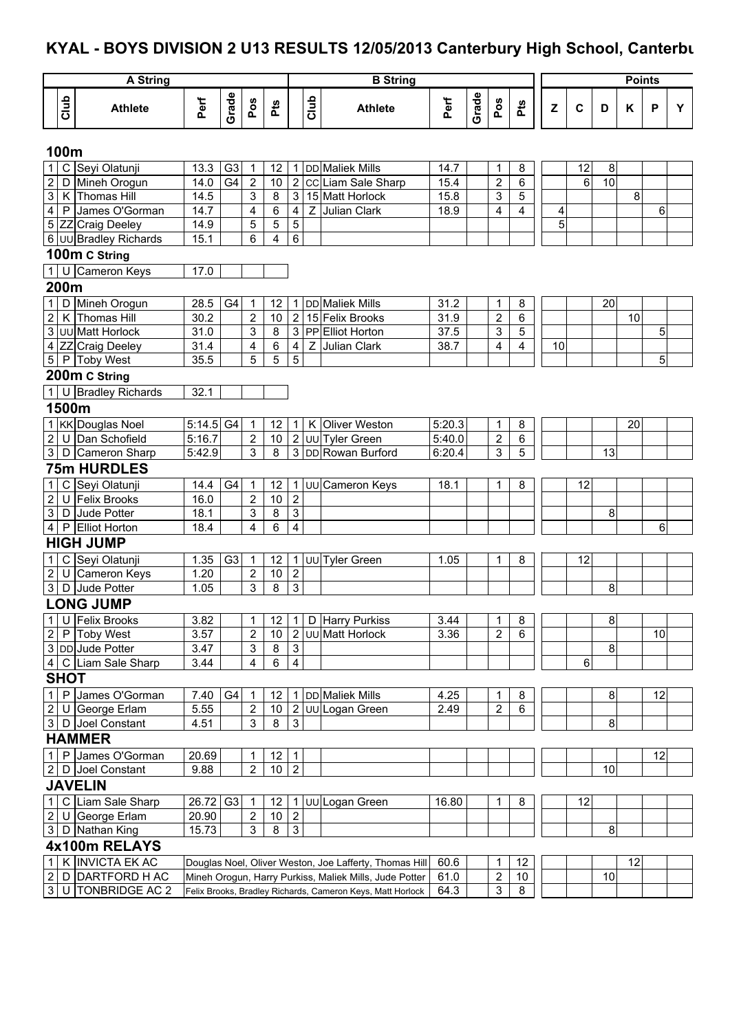# **KYAL - BOYS DIVISION 2 U13 RESULTS 12/05/2013 Canterbury High School, Canterbury**

|                         |              | <b>A String</b>                          |              |                |                |         |                         |      | <b>B</b> String                                            |              |       |                                       |                              |    |             |    | <b>Points</b> |    |   |
|-------------------------|--------------|------------------------------------------|--------------|----------------|----------------|---------|-------------------------|------|------------------------------------------------------------|--------------|-------|---------------------------------------|------------------------------|----|-------------|----|---------------|----|---|
|                         | Club         | <b>Athlete</b>                           | Perf         | Grade          | Pos            | Pts     |                         | Club | <b>Athlete</b>                                             | Perf         | Grade | Pos                                   | Pts                          | Z  | $\mathbf c$ | D  | Κ             | P  | Y |
| 100m                    |              |                                          |              |                |                |         |                         |      |                                                            |              |       |                                       |                              |    |             |    |               |    |   |
| $\mathbf 1$             | C            | Seyi Olatunji                            | 13.3         | G <sub>3</sub> | 1              | 12      |                         |      | 1 DD Maliek Mills                                          | 14.7         |       | $\mathbf 1$                           | $\,8\,$                      |    | 12          | 8  |               |    |   |
| $\boldsymbol{2}$        | D            | Mineh Orogun                             | 14.0         | G <sub>4</sub> | $\overline{2}$ | 10      |                         |      | 2 CC Liam Sale Sharp                                       | 15.4         |       | $\overline{2}$                        | $\,6$                        |    | 6           | 10 |               |    |   |
| $\overline{3}$          | Κ            | Thomas Hill                              | 14.5         |                | 3              | 8       | دى                      |      | 15 Matt Horlock                                            | 15.8         |       | 3                                     | 5                            |    |             |    | 8             |    |   |
| 4                       | P            | James O'Gorman                           | 14.7         |                | 4              | 6       | $\overline{\mathbf{4}}$ |      | Z Julian Clark                                             | 18.9         |       | 4                                     | 4                            | 4  |             |    |               | 6  |   |
| $\,$ 5 $\,$             |              | ZZ Craig Deeley<br>6 UU Bradley Richards | 14.9<br>15.1 |                | 5<br>6         | 5<br>4  | 5<br>$\overline{6}$     |      |                                                            |              |       |                                       |                              | 5  |             |    |               |    |   |
|                         |              |                                          |              |                |                |         |                         |      |                                                            |              |       |                                       |                              |    |             |    |               |    |   |
|                         |              | 100m C String                            |              |                |                |         |                         |      |                                                            |              |       |                                       |                              |    |             |    |               |    |   |
| $\mathbf{1}$            |              | Cameron Keys                             | 17.0         |                |                |         |                         |      |                                                            |              |       |                                       |                              |    |             |    |               |    |   |
| 200m                    |              |                                          |              |                |                |         |                         |      |                                                            |              |       |                                       |                              |    |             |    |               |    |   |
| 1                       | D            | Mineh Orogun                             | 28.5         | G4             | 1              | 12      | 1.                      |      | <b>DD</b> Maliek Mills                                     | 31.2         |       | 1                                     | 8                            |    |             | 20 |               |    |   |
| $\overline{c}$          | K            | <b>Thomas Hill</b>                       | 30.2         |                | $\overline{2}$ | 10      | $\overline{2}$          |      | 15 Felix Brooks                                            | 31.9         |       | $\overline{2}$                        | $6\phantom{1}$               |    |             |    | 10            |    |   |
|                         |              | 3 UU Matt Horlock                        | 31.0<br>31.4 |                | 3<br>4         | $\,8\,$ |                         |      | 3 PP Elliot Horton<br>Z Julian Clark                       | 37.5<br>38.7 |       | $\sqrt{3}$<br>$\overline{\mathbf{4}}$ | 5<br>$\overline{\mathbf{4}}$ | 10 |             |    |               | 5  |   |
|                         |              | 4 ZZ Craig Deeley<br>5 P Toby West       | 35.5         |                | 5              | 6<br>5  | $\overline{4}$<br>5     |      |                                                            |              |       |                                       |                              |    |             |    |               | 5  |   |
|                         |              | 200m C String                            |              |                |                |         |                         |      |                                                            |              |       |                                       |                              |    |             |    |               |    |   |
|                         |              | 1 U Bradley Richards                     | 32.1         |                |                |         |                         |      |                                                            |              |       |                                       |                              |    |             |    |               |    |   |
| 1500m                   |              |                                          |              |                |                |         |                         |      |                                                            |              |       |                                       |                              |    |             |    |               |    |   |
| $\mathbf{1}$            |              | <b>KK</b> Douglas Noel                   | $5:14.5$ G4  |                | 1              | 12      | 11                      |      | K Oliver Weston                                            | 5:20.3       |       | 1                                     | 8                            |    |             |    | 20            |    |   |
| $\overline{2}$          | U            | Dan Schofield                            | 5:16.7       |                | $\sqrt{2}$     | 10      |                         |      | 2 JUU Tyler Green                                          | 5:40.0       |       | 2                                     | 6                            |    |             |    |               |    |   |
| $3$ D                   |              | Cameron Sharp                            | 5:42.9       |                | $\mathfrak{S}$ | 8       |                         |      | 3 DD Rowan Burford                                         | 6:20.4       |       | 3                                     | 5                            |    |             | 13 |               |    |   |
|                         |              | <b>75m HURDLES</b>                       |              |                |                |         |                         |      |                                                            |              |       |                                       |                              |    |             |    |               |    |   |
| $\mathbf{1}$            | C            | Seyi Olatunji                            | 14.4         | G4             | 1              | 12      |                         |      | 1 UU Cameron Keys                                          | 18.1         |       | $\mathbf{1}$                          | 8                            |    | 12          |    |               |    |   |
| $\overline{\mathbf{c}}$ | U            | Felix Brooks                             | 16.0         |                | $\overline{2}$ | 10      | $\overline{2}$          |      |                                                            |              |       |                                       |                              |    |             |    |               |    |   |
| $\overline{3}$          | D            | Jude Potter                              | 18.1         |                | 3              | 8       | 3                       |      |                                                            |              |       |                                       |                              |    |             | 8  |               |    |   |
| $\overline{4}$          | P            | <b>Elliot Horton</b>                     | 18.4         |                | 4              | 6       | 4                       |      |                                                            |              |       |                                       |                              |    |             |    |               | 6  |   |
|                         |              | <b>HIGH JUMP</b>                         |              |                |                |         |                         |      |                                                            |              |       |                                       |                              |    |             |    |               |    |   |
| 1                       | $\mathsf{C}$ | Seyi Olatunji                            | 1.35         | G <sub>3</sub> | 1              | 12      |                         |      | 1 JUU Tyler Green                                          | 1.05         |       | 1                                     | 8                            |    | 12          |    |               |    |   |
| $\boldsymbol{2}$        | U            | Cameron Keys                             | 1.20         |                | $\sqrt{2}$     | 10      | $\overline{2}$          |      |                                                            |              |       |                                       |                              |    |             |    |               |    |   |
| $\mathfrak{S}$          | D            | Jude Potter                              | 1.05         |                | 3              | 8       | 3                       |      |                                                            |              |       |                                       |                              |    |             | 8  |               |    |   |
|                         |              | <b>LONG JUMP</b>                         |              |                |                |         |                         |      |                                                            |              |       |                                       |                              |    |             |    |               |    |   |
| $\mathbf{1}$            | U            | <b>Felix Brooks</b>                      | 3.82         |                | 1              | 12      | 1 <sup>1</sup>          |      | D Harry Purkiss                                            | 3.44         |       | 1                                     | 8                            |    |             | 8  |               |    |   |
| $\overline{2}$<br>P     |              | <b>Toby West</b>                         | 3.57         |                | 2              | 10      |                         |      | 2 UU Matt Horlock                                          | 3.36         |       | $\overline{2}$                        | 6                            |    |             |    |               | 10 |   |
|                         |              | 3 DD Jude Potter                         | 3.47         |                | 3              | 8       | $\mathfrak{S}$          |      |                                                            |              |       |                                       |                              |    |             | 8  |               |    |   |
| 4 <sup>1</sup>          |              | C Liam Sale Sharp                        | 3.44         |                | 4              | 6       | $\overline{\mathbf{4}}$ |      |                                                            |              |       |                                       |                              |    | 6           |    |               |    |   |
| <b>SHOT</b>             |              |                                          |              |                |                |         |                         |      |                                                            |              |       |                                       |                              |    |             |    |               |    |   |
| $\mathbf{1}$<br>P       |              | James O'Gorman                           | 7.40         | G4             | 1              | 12      |                         |      | 1 DD Maliek Mills                                          | 4.25         |       | 1                                     | 8                            |    |             | 8  |               | 12 |   |
| $\sqrt{2}$<br>U         |              | George Erlam                             | 5.55         |                | $\sqrt{2}$     | 10      |                         |      | 2   UU   Logan Green                                       | 2.49         |       | $\boldsymbol{2}$                      | 6                            |    |             |    |               |    |   |
| $\mathbf{3}$            | D            | Joel Constant                            | 4.51         |                | $\mathfrak{S}$ | 8       | $\overline{3}$          |      |                                                            |              |       |                                       |                              |    |             | 8  |               |    |   |
|                         |              | <b>HAMMER</b>                            |              |                |                |         |                         |      |                                                            |              |       |                                       |                              |    |             |    |               |    |   |
| $\mathbf{1}$            | P            | James O'Gorman                           | 20.69        |                | 1              | 12      | 1                       |      |                                                            |              |       |                                       |                              |    |             |    |               | 12 |   |
|                         |              | 2 D Joel Constant                        | 9.88         |                | $\overline{2}$ | 10      | $\sqrt{2}$              |      |                                                            |              |       |                                       |                              |    |             | 10 |               |    |   |
|                         |              | <b>JAVELIN</b>                           |              |                |                |         |                         |      |                                                            |              |       |                                       |                              |    |             |    |               |    |   |
| $\cdot$ j.              |              | C Liam Sale Sharp                        | 26.72 G3     |                | 1              | 12      |                         |      | 1 JUU Logan Green                                          | 16.80        |       | 1                                     | 8                            |    | 12          |    |               |    |   |
| $\overline{2}$<br>U     |              | George Erlam                             | 20.90        |                | $\overline{2}$ | 10      | $\overline{2}$          |      |                                                            |              |       |                                       |                              |    |             |    |               |    |   |
| 3 <sup>1</sup>          | D            | Nathan King                              | 15.73        |                | $\overline{3}$ | 8       | $\overline{3}$          |      |                                                            |              |       |                                       |                              |    |             | 8  |               |    |   |
|                         |              | 4x100m RELAYS                            |              |                |                |         |                         |      |                                                            |              |       |                                       |                              |    |             |    |               |    |   |
| $\mathbf{1}$            |              | K INVICTA EK AC                          |              |                |                |         |                         |      | Douglas Noel, Oliver Weston, Joe Lafferty, Thomas Hill     | 60.6         |       | 1                                     | 12                           |    |             |    | 12            |    |   |
| $\overline{2}$          | D            | <b>DARTFORD H AC</b>                     |              |                |                |         |                         |      | Mineh Orogun, Harry Purkiss, Maliek Mills, Jude Potter     | 61.0         |       | $\overline{\mathbf{c}}$               | 10                           |    |             | 10 |               |    |   |
| دى                      | U            | <b>TONBRIDGE AC 2</b>                    |              |                |                |         |                         |      | Felix Brooks, Bradley Richards, Cameron Keys, Matt Horlock | 64.3         |       | 3                                     | $\overline{8}$               |    |             |    |               |    |   |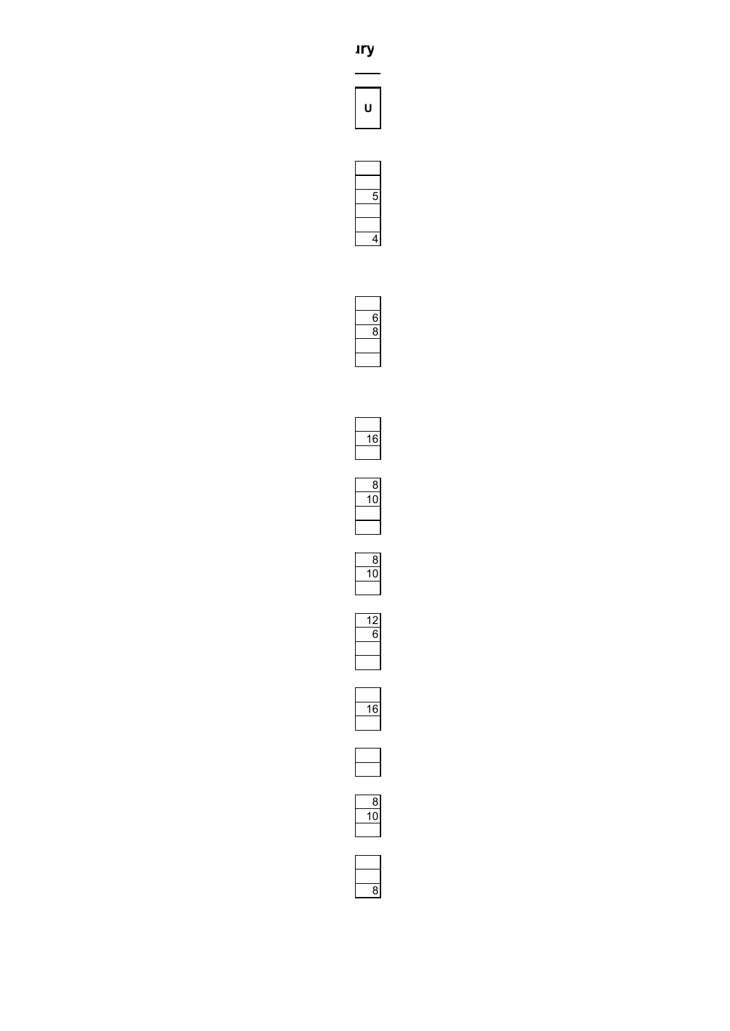



































 $\overline{8}$